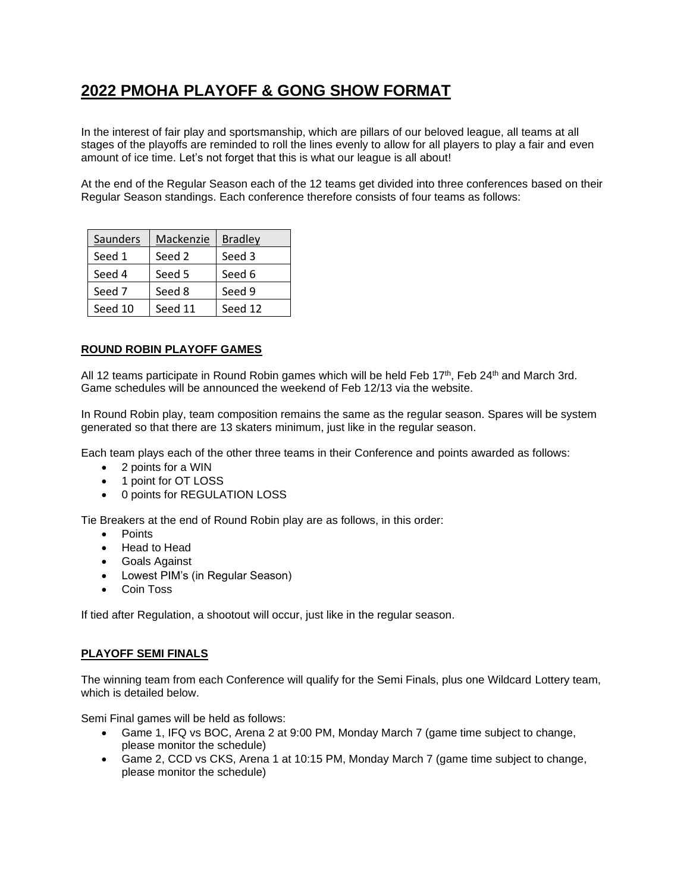# **2022 PMOHA PLAYOFF & GONG SHOW FORMAT**

In the interest of fair play and sportsmanship, which are pillars of our beloved league, all teams at all stages of the playoffs are reminded to roll the lines evenly to allow for all players to play a fair and even amount of ice time. Let's not forget that this is what our league is all about!

At the end of the Regular Season each of the 12 teams get divided into three conferences based on their Regular Season standings. Each conference therefore consists of four teams as follows:

| Saunders | Mackenzie | <b>Bradley</b> |
|----------|-----------|----------------|
| Seed 1   | Seed 2    | Seed 3         |
| Seed 4   | Seed 5    | Seed 6         |
| Seed 7   | Seed 8    | Seed 9         |
| Seed 10  | Seed 11   | Seed 12        |

# **ROUND ROBIN PLAYOFF GAMES**

All 12 teams participate in Round Robin games which will be held Feb 17<sup>th</sup>, Feb 24<sup>th</sup> and March 3rd. Game schedules will be announced the weekend of Feb 12/13 via the website.

In Round Robin play, team composition remains the same as the regular season. Spares will be system generated so that there are 13 skaters minimum, just like in the regular season.

Each team plays each of the other three teams in their Conference and points awarded as follows:

- 2 points for a WIN
- 1 point for OT LOSS
- 0 points for REGULATION LOSS

Tie Breakers at the end of Round Robin play are as follows, in this order:

- Points
- Head to Head
- Goals Against
- Lowest PIM's (in Regular Season)
- Coin Toss

If tied after Regulation, a shootout will occur, just like in the regular season.

# **PLAYOFF SEMI FINALS**

The winning team from each Conference will qualify for the Semi Finals, plus one Wildcard Lottery team, which is detailed below.

Semi Final games will be held as follows:

- Game 1, IFQ vs BOC, Arena 2 at 9:00 PM, Monday March 7 (game time subject to change, please monitor the schedule)
- Game 2, CCD vs CKS, Arena 1 at 10:15 PM, Monday March 7 (game time subject to change, please monitor the schedule)